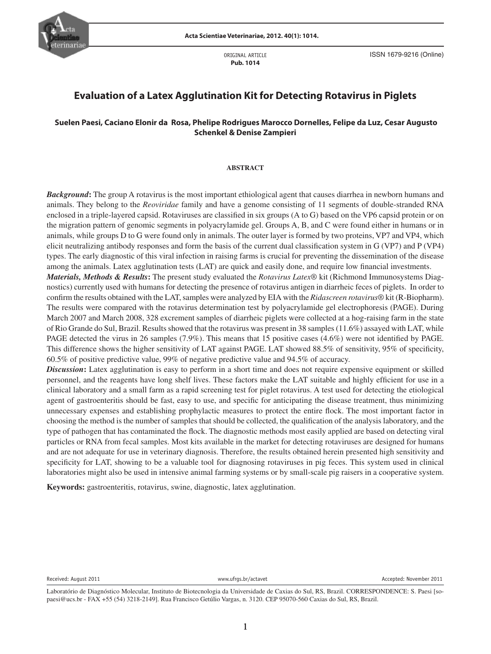

ORIGINAL ARTICLE **Pub. 1014**

ISSN 1679-9216 (Online)

# **Evaluation of a Latex Agglutination Kit for Detecting Rotavirus in Piglets**

# **Suelen Paesi, Caciano Elonir da Rosa, Phelipe Rodrigues Marocco Dornelles, Felipe da Luz, Cesar Augusto Schenkel & Denise Zampieri**

#### **ABSTRACT**

*Background***:** The group A rotavirus is the most important ethiological agent that causes diarrhea in newborn humans and animals. They belong to the *Reoviridae* family and have a genome consisting of 11 segments of double-stranded RNA enclosed in a triple-layered capsid. Rotaviruses are classified in six groups (A to G) based on the VP6 capsid protein or on the migration pattern of genomic segments in polyacrylamide gel. Groups A, B, and C were found either in humans or in animals, while groups D to G were found only in animals. The outer layer is formed by two proteins, VP7 and VP4, which elicit neutralizing antibody responses and form the basis of the current dual classification system in G (VP7) and P (VP4) types. The early diagnostic of this viral infection in raising farms is crucial for preventing the dissemination of the disease among the animals. Latex agglutination tests (LAT) are quick and easily done, and require low financial investments.

PAGE detected the virus in 26 samples (7.9%). This means that 15 positive cases (4.6%) were not identified by PAGE. *Materials, Methods & Results***:** The present study evaluated the *Rotavirus Latex*® kit (Richmond Immunosystems Diagnostics) currently used with humans for detecting the presence of rotavirus antigen in diarrheic feces of piglets. In order to confirm the results obtained with the LAT, samples were analyzed by EIA with the *Ridascreen rotavirus*® kit (R-Biopharm). The results were compared with the rotavirus determination test by polyacrylamide gel electrophoresis (PAGE). During March 2007 and March 2008, 328 excrement samples of diarrheic piglets were collected at a hog-raising farm in the state of Rio Grande do Sul, Brazil. Results showed that the rotavirus was present in 38 samples (11.6%) assayed with LAT, while This difference shows the higher sensitivity of LAT against PAGE. LAT showed  $88.5\%$  of sensitivity,  $95\%$  of specificity, 60.5% of positive predictive value, 99% of negative predictive value and 94.5% of accuracy.

*Discussion***:** Latex agglutination is easy to perform in a short time and does not require expensive equipment or skilled personnel, and the reagents have long shelf lives. These factors make the LAT suitable and highly efficient for use in a clinical laboratory and a small farm as a rapid screening test for piglet rotavirus. A test used for detecting the etiological agent of gastroenteritis should be fast, easy to use, and specific for anticipating the disease treatment, thus minimizing unnecessary expenses and establishing prophylactic measures to protect the entire flock. The most important factor in choosing the method is the number of samples that should be collected, the qualification of the analysis laboratory, and the type of pathogen that has contaminated the flock. The diagnostic methods most easily applied are based on detecting viral particles or RNA from fecal samples. Most kits available in the market for detecting rotaviruses are designed for humans and are not adequate for use in veterinary diagnosis. Therefore, the results obtained herein presented high sensitivity and specificity for LAT, showing to be a valuable tool for diagnosing rotaviruses in pig feces. This system used in clinical laboratories might also be used in intensive animal farming systems or by small-scale pig raisers in a cooperative system.

**Keywords:** gastroenteritis, rotavirus, swine, diagnostic, latex agglutination.

| Received: August 2011 |   |  |  |   | or/actavet."<br>------- |  |  |  |  |  | (201)<br>November، |  |  |  |  |  |  |  |  |
|-----------------------|---|--|--|---|-------------------------|--|--|--|--|--|--------------------|--|--|--|--|--|--|--|--|
| _ _<br>.              | . |  |  | . |                         |  |  |  |  |  |                    |  |  |  |  |  |  |  |  |

Laboratório de Diagnóstico Molecular, Instituto de Biotecnologia da Universidade de Caxias do Sul, RS, Brazil. CORRESPONDENCE: S. Paesi [sopaesi@ucs.br - FAX +55 (54) 3218-2149]. Rua Francisco Getúlio Vargas, n. 3120. CEP 95070-560 Caxias do Sul, RS, Brazil.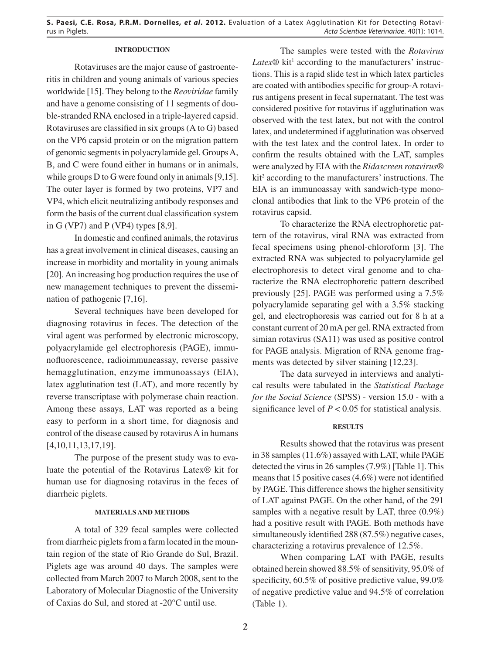# **INTRODUCTION**

Rotaviruses are the major cause of gastroenteritis in children and young animals of various species worldwide [15]. They belong to the *Reoviridae* family and have a genome consisting of 11 segments of double-stranded RNA enclosed in a triple-layered capsid. Rotaviruses are classified in six groups  $(A \text{ to } G)$  based on the VP6 capsid protein or on the migration pattern of genomic segments in polyacrylamide gel. Groups A, B, and C were found either in humans or in animals, while groups D to G were found only in animals [9,15]. The outer layer is formed by two proteins, VP7 and VP4, which elicit neutralizing antibody responses and form the basis of the current dual classification system in G (VP7) and P (VP4) types [8,9].

In domestic and confined animals, the rotavirus has a great involvement in clinical diseases, causing an increase in morbidity and mortality in young animals [20]. An increasing hog production requires the use of new management techniques to prevent the dissemination of pathogenic [7,16].

Several techniques have been developed for diagnosing rotavirus in feces. The detection of the viral agent was performed by electronic microscopy, polyacrylamide gel electrophoresis (PAGE), immunofluorescence, radioimmuneassay, reverse passive hemagglutination, enzyme immunoassays (EIA), latex agglutination test (LAT), and more recently by reverse transcriptase with polymerase chain reaction. Among these assays, LAT was reported as a being easy to perform in a short time, for diagnosis and control of the disease caused by rotavirus A in humans [4,10,11,13,17,19].

The purpose of the present study was to evaluate the potential of the Rotavirus Latex® kit for human use for diagnosing rotavirus in the feces of diarrheic piglets.

## **MATERIALS AND METHODS**

A total of 329 fecal samples were collected from diarrheic piglets from a farm located in the mountain region of the state of Rio Grande do Sul, Brazil. Piglets age was around 40 days. The samples were collected from March 2007 to March 2008, sent to the Laboratory of Molecular Diagnostic of the University of Caxias do Sul, and stored at -20°C until use.

The samples were tested with the *Rotavirus*  Latex<sup>®</sup> kit<sup>1</sup> according to the manufacturers' instructions. This is a rapid slide test in which latex particles are coated with antibodies specific for group-A rotavirus antigens present in fecal supernatant. The test was considered positive for rotavirus if agglutination was observed with the test latex, but not with the control latex, and undetermined if agglutination was observed with the test latex and the control latex. In order to confirm the results obtained with the LAT, samples were analyzed by EIA with the *Ridascreen rotavirus*® kit<sup>2</sup> according to the manufacturers' instructions. The EIA is an immunoassay with sandwich-type monoclonal antibodies that link to the VP6 protein of the rotavirus capsid.

To characterize the RNA electrophoretic pattern of the rotavirus, viral RNA was extracted from fecal specimens using phenol-chloroform [3]. The extracted RNA was subjected to polyacrylamide gel electrophoresis to detect viral genome and to characterize the RNA electrophoretic pattern described previously [25]. PAGE was performed using a 7.5% polyacrylamide separating gel with a 3.5% stacking gel, and electrophoresis was carried out for 8 h at a constant current of 20 mA per gel. RNA extracted from simian rotavirus (SA11) was used as positive control for PAGE analysis. Migration of RNA genome fragments was detected by silver staining [12,23].

The data surveyed in interviews and analytical results were tabulated in the *Statistical Package for the Social Science* (SPSS) - version 15.0 - with a significance level of  $P < 0.05$  for statistical analysis.

## **RESULTS**

Results showed that the rotavirus was present in 38 samples (11.6%) assayed with LAT, while PAGE detected the virus in 26 samples (7.9%) [Table 1]. This means that 15 positive cases  $(4.6\%)$  were not identified by PAGE. This difference shows the higher sensitivity of LAT against PAGE. On the other hand, of the 291 samples with a negative result by LAT, three (0.9%) had a positive result with PAGE. Both methods have simultaneously identified  $288 (87.5%)$  negative cases, characterizing a rotavirus prevalence of 12.5%.

When comparing LAT with PAGE, results obtained herein showed 88.5% of sensitivity, 95.0% of specificity,  $60.5\%$  of positive predictive value,  $99.0\%$ of negative predictive value and 94.5% of correlation (Table 1).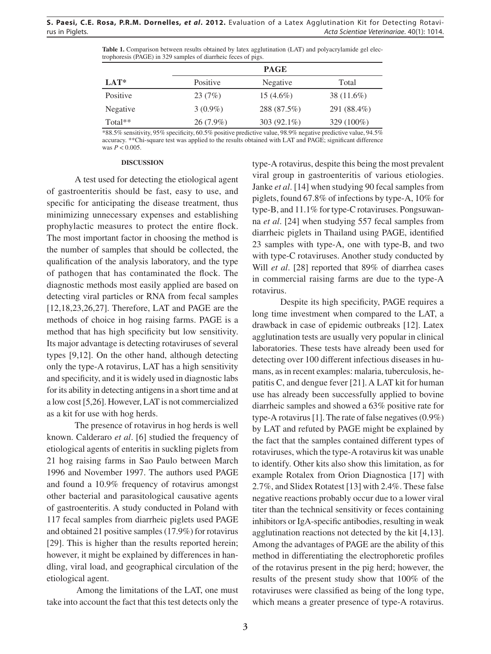|                                                               |  | <b>Table 1.</b> Comparison between results obtained by latex agglutination (LAT) and polyacrylamide gel elec- |
|---------------------------------------------------------------|--|---------------------------------------------------------------------------------------------------------------|
| trophoresis (PAGE) in 329 samples of diarrheic feces of pigs. |  |                                                                                                               |

|          | <b>PAGE</b> |                |              |  |  |  |  |  |
|----------|-------------|----------------|--------------|--|--|--|--|--|
| $LAT^*$  | Positive    | Negative       | Total        |  |  |  |  |  |
| Positive | 23(7%)      | $15(4.6\%)$    | 38 (11.6%)   |  |  |  |  |  |
| Negative | $3(0.9\%)$  | 288 (87.5%)    | 291 (88.4%)  |  |  |  |  |  |
| Total**  | $26(7.9\%)$ | 303 $(92.1\%)$ | $329(100\%)$ |  |  |  |  |  |

\*88.5% sensitivity, 95% specificity, 60.5% positive predictive value, 98.9% negative predictive value, 94.5% accuracy. \*\*Chi-square test was applied to the results obtained with LAT and PAGE; significant difference was  $P \le 0.005$ .

#### **DISCUSSION**

A test used for detecting the etiological agent of gastroenteritis should be fast, easy to use, and specific for anticipating the disease treatment, thus minimizing unnecessary expenses and establishing prophylactic measures to protect the entire flock. The most important factor in choosing the method is the number of samples that should be collected, the qualification of the analysis laboratory, and the type of pathogen that has contaminated the flock. The diagnostic methods most easily applied are based on detecting viral particles or RNA from fecal samples [12,18,23,26,27]. Therefore, LAT and PAGE are the methods of choice in hog raising farms. PAGE is a method that has high specificity but low sensitivity. Its major advantage is detecting rotaviruses of several types [9,12]. On the other hand, although detecting only the type-A rotavirus, LAT has a high sensitivity and specificity, and it is widely used in diagnostic labs for its ability in detecting antigens in a short time and at a low cost [5,26]. However, LAT is not commercialized as a kit for use with hog herds.

The presence of rotavirus in hog herds is well known. Calderaro *et al*. [6] studied the frequency of etiological agents of enteritis in suckling piglets from 21 hog raising farms in Sao Paulo between March 1996 and November 1997. The authors used PAGE and found a 10.9% frequency of rotavirus amongst other bacterial and parasitological causative agents of gastroenteritis. A study conducted in Poland with 117 fecal samples from diarrheic piglets used PAGE and obtained 21 positive samples (17.9%) for rotavirus [29]. This is higher than the results reported herein; however, it might be explained by differences in handling, viral load, and geographical circulation of the etiological agent.

 Among the limitations of the LAT, one must take into account the fact that this test detects only the type-A rotavirus, despite this being the most prevalent viral group in gastroenteritis of various etiologies. Janke *et al*. [14] when studying 90 fecal samples from piglets, found 67.8% of infections by type-A, 10% for type-B, and 11.1% for type-C rotaviruses. Pongsuwanna *et al*. [24] when studying 557 fecal samples from diarrheic piglets in Thailand using PAGE, identified 23 samples with type-A, one with type-B, and two with type-C rotaviruses. Another study conducted by Will *et al*. [28] reported that 89% of diarrhea cases in commercial raising farms are due to the type-A rotavirus.

agglutination tests are usually very popular in clinical Despite its high specificity, PAGE requires a long time investment when compared to the LAT, a drawback in case of epidemic outbreaks [12]. Latex laboratories. These tests have already been used for detecting over 100 different infectious diseases in humans, as in recent examples: malaria, tuberculosis, hepatitis C, and dengue fever [21]. A LAT kit for human use has already been successfully applied to bovine diarrheic samples and showed a 63% positive rate for type-A rotavirus [1]. The rate of false negatives (0.9%) by LAT and refuted by PAGE might be explained by the fact that the samples contained different types of rotaviruses, which the type-A rotavirus kit was unable to identify. Other kits also show this limitation, as for example Rotalex from Orion Diagnostica [17] with 2.7%, and Slidex Rotatest [13] with 2.4%. These false negative reactions probably occur due to a lower viral titer than the technical sensitivity or feces containing inhibitors or IgA-specific antibodies, resulting in weak agglutination reactions not detected by the kit [4,13]. Among the advantages of PAGE are the ability of this method in differentiating the electrophoretic profiles of the rotavirus present in the pig herd; however, the results of the present study show that 100% of the rotaviruses were classified as being of the long type, which means a greater presence of type-A rotavirus.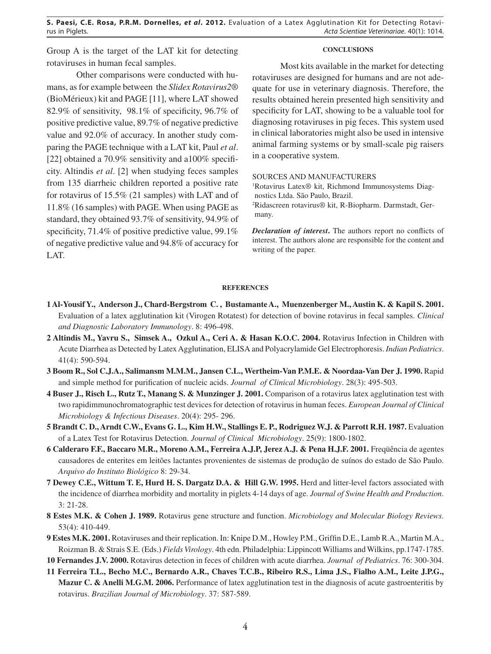**S. Paesi, C.E. Rosa, P.R.M. Dornelles,** *et al***. 2012.** Evaluation of a Latex Agglutination Kit for Detecting Rotavi-Acta Scientiae Veterinariae. 40(1): 1014.

Group A is the target of the LAT kit for detecting rotaviruses in human fecal samples.

#### **CONCLUSIONS**

 Other comparisons were conducted with humans, as for example between the *Slidex Rotavirus2*® (BioMérieux) kit and PAGE [11], where LAT showed 82.9% of sensitivity, 98.1% of specificity, 96.7% of positive predictive value, 89.7% of negative predictive value and 92.0% of accuracy. In another study comparing the PAGE technique with a LAT kit, Paul *et al*. [22] obtained a  $70.9\%$  sensitivity and a  $100\%$  specificity. Altindis *et al*. [2] when studying feces samples from 135 diarrheic children reported a positive rate for rotavirus of 15.5% (21 samples) with LAT and of 11.8% (16 samples) with PAGE. When using PAGE as standard, they obtained 93.7% of sensitivity, 94.9% of specificity, 71.4% of positive predictive value,  $99.1\%$ of negative predictive value and 94.8% of accuracy for LAT.

Most kits available in the market for detecting rotaviruses are designed for humans and are not adequate for use in veterinary diagnosis. Therefore, the results obtained herein presented high sensitivity and specificity for LAT, showing to be a valuable tool for diagnosing rotaviruses in pig feces. This system used in clinical laboratories might also be used in intensive animal farming systems or by small-scale pig raisers in a cooperative system.

SOURCES AND MANUFACTURERS

1 Rotavirus Latex® kit, Richmond Immunosystems Diagnostics Ltda. São Paulo, Brazil. 2 Ridascreen rotavirus® kit, R-Biopharm. Darmstadt, Germany.

*Declaration of interest*. The authors report no conflicts of interest. The authors alone are responsible for the content and writing of the paper.

#### **REFERENCES**

- **1 Al-Yousif Y., Anderson J., Chard-Bergstrom C. , Bustamante A., Muenzenberger M., Austin K. & Kapil S. 2001.**  Evaluation of a latex agglutination kit (Virogen Rotatest) for detection of bovine rotavirus in fecal samples. *Clinical and Diagnostic Laboratory Immunology*. 8: 496-498.
- **2 Altindis M., Yavru S., Simsek A., Ozkul A., Ceri A. & Hasan K.O.C. 2004.** Rotavirus Infection in Children with Acute Diarrhea as Detected by Latex Agglutination, ELISA and Polyacrylamide Gel Electrophoresis. *Indian Pediatrics*. 41(4): 590-594.
- **3 Boom R., Sol C.J.A., Salimansm M.M.M., Jansen C.L., Wertheim-Van P.M.E. & Noordaa-Van Der J. 1990.** Rapid and simple method for purification of nucleic acids. *Journal of Clinical Microbiology*. 28(3): 495-503.
- **4 Buser J., Risch L., Rutz T., Manang S. & Munzinger J. 2001.** Comparison of a rotavirus latex agglutination test with two rapidimmunochromatographic test devices for detection of rotavirus in human feces. *European Journal of Clinical Microbiology & Infectious Diseases*. 20(4): 295- 296.
- **5 Brandt C. D., Arndt C.W., Evans G. L., Kim H.W., Stallings E. P., Rodriguez W.J. & Parrott R.H. 1987.** Evaluation of a Latex Test for Rotavirus Detection. *Journal of Clinical Microbiology*. 25(9): 1800-1802.
- **6 Calderaro F.F., Baccaro M.R., Moreno A.M., Ferreira A.J.P, Jerez A.J. & Pena H.J.F. 2001.** Freqüência de agentes causadores de enterites em leitões lactantes provenientes de sistemas de produção de suínos do estado de São Paulo. *Arquivo do Instituto Biológico* 8: 29-34.
- **7 Dewey C.E., Wittum T. E, Hurd H. S. Dargatz D.A. & Hill G.W. 1995.** Herd and litter-level factors associated with the incidence of diarrhea morbidity and mortality in piglets 4-14 days of age. *Journal of Swine Health and Production*. 3: 21-28.
- **8 Estes M.K. & Cohen J. 1989.** Rotavirus gene structure and function. *Microbiology and Molecular Biology Reviews*. 53(4): 410-449.
- **9 Estes M.K. 2001.** Rotaviruses and their replication. In: Knipe D.M., Howley P.M., Griffin D.E., Lamb R.A., Martin M.A., Roizman B. & Strais S.E. (Eds.) *Fields Virology*. 4th edn. Philadelphia: Lippincott Williams and Wilkins, pp.1747-1785.
- **10 Fernandes J.V. 2000.** Rotavirus detection in feces of children with acute diarrhea. *Journal of Pediatrics*. 76: 300-304.
- **11 Ferreira T.L., Becho M.C., Bernardo A.R., Chaves T.C.B., Ribeiro R.S., Lima J.S., Fialho A.M., Leite J.P.G., Mazur C. & Anelli M.G.M. 2006.** Performance of latex agglutination test in the diagnosis of acute gastroenteritis by rotavirus. *Brazilian Journal of Microbiology*. 37: 587-589.